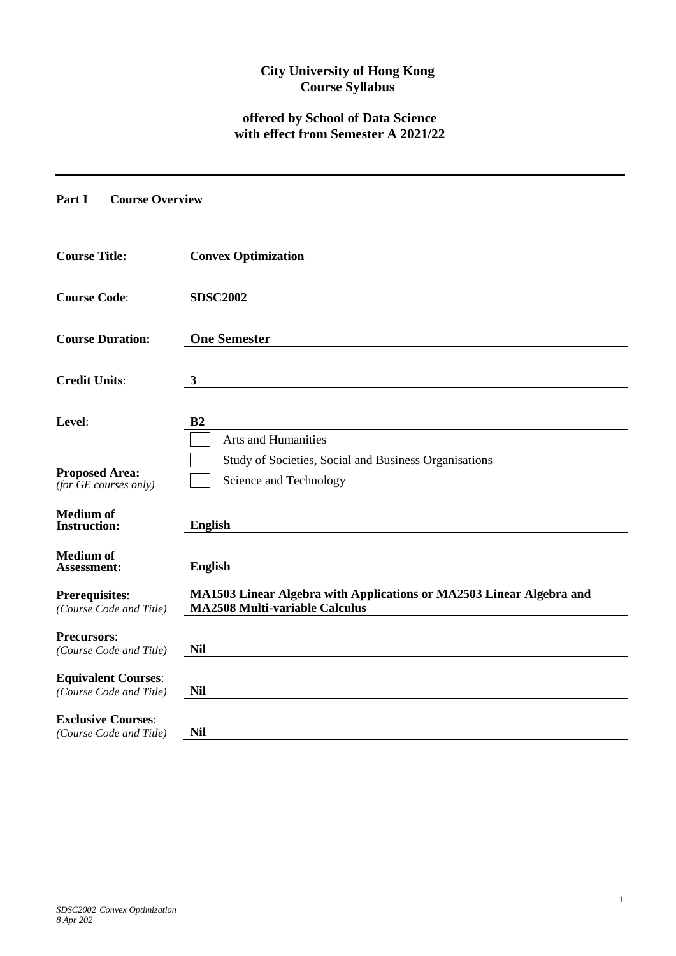# **City University of Hong Kong Course Syllabus**

# **offered by School of Data Science with effect from Semester A 2021/22**

#### **Part I Course Overview**

| <b>Course Title:</b>                                                           | <b>Convex Optimization</b>                                                                                    |
|--------------------------------------------------------------------------------|---------------------------------------------------------------------------------------------------------------|
| <b>Course Code:</b>                                                            | <b>SDSC2002</b>                                                                                               |
| <b>Course Duration:</b>                                                        | <b>One Semester</b>                                                                                           |
| <b>Credit Units:</b>                                                           | $\mathbf{3}$                                                                                                  |
| Level:                                                                         | B <sub>2</sub><br><b>Arts and Humanities</b>                                                                  |
| <b>Proposed Area:</b><br>$(for \overline{GE} \textit{ courses} \textit{only})$ | Study of Societies, Social and Business Organisations<br>Science and Technology                               |
| <b>Medium of</b><br><b>Instruction:</b>                                        | <b>English</b>                                                                                                |
| <b>Medium of</b><br><b>Assessment:</b>                                         | <b>English</b>                                                                                                |
| <b>Prerequisites:</b><br>(Course Code and Title)                               | MA1503 Linear Algebra with Applications or MA2503 Linear Algebra and<br><b>MA2508 Multi-variable Calculus</b> |
| <b>Precursors:</b><br>(Course Code and Title)                                  | <b>Nil</b>                                                                                                    |
| <b>Equivalent Courses:</b><br>(Course Code and Title)                          | <b>Nil</b>                                                                                                    |
| <b>Exclusive Courses:</b><br>(Course Code and Title)                           | <b>Nil</b>                                                                                                    |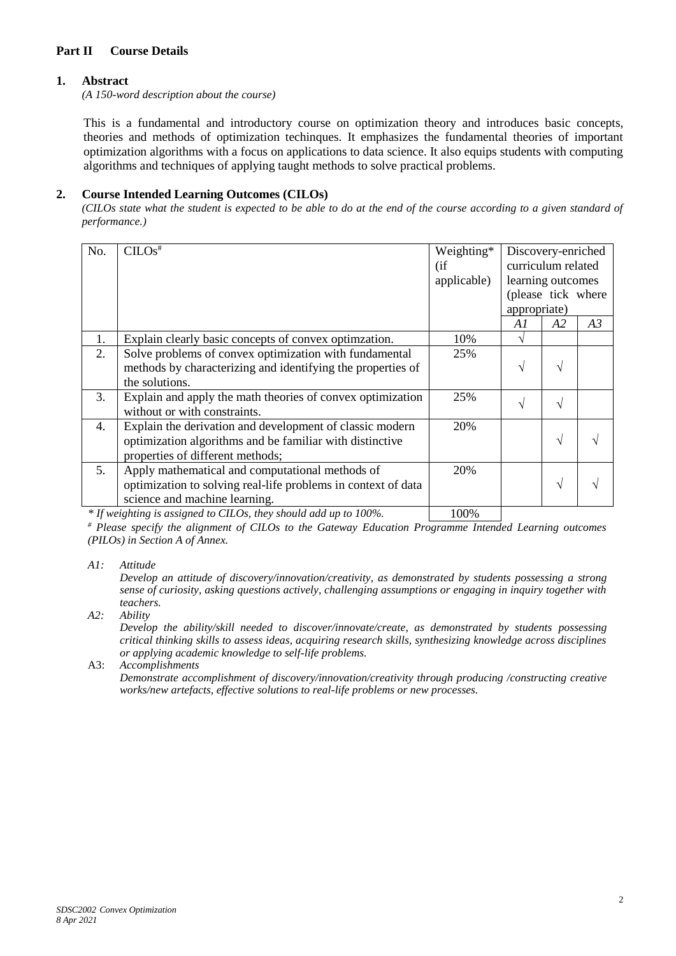## **Part II Course Details**

## **1. Abstract**

*(A 150-word description about the course)*

This is a fundamental and introductory course on optimization theory and introduces basic concepts, theories and methods of optimization techinques. It emphasizes the fundamental theories of important optimization algorithms with a focus on applications to data science. It also equips students with computing algorithms and techniques of applying taught methods to solve practical problems.

### **2. Course Intended Learning Outcomes (CILOs)**

*(CILOs state what the student is expected to be able to do at the end of the course according to a given standard of performance.)*

| No. | $CLOS$ <sup>#</sup>                                           | Weighting*<br>(i f) | Discovery-enriched<br>curriculum related |           |    |
|-----|---------------------------------------------------------------|---------------------|------------------------------------------|-----------|----|
|     |                                                               | applicable)         | learning outcomes                        |           |    |
|     |                                                               |                     | (please tick where                       |           |    |
|     |                                                               |                     | appropriate)                             |           |    |
|     |                                                               |                     | A1                                       | A2        | A3 |
| 1.  | Explain clearly basic concepts of convex optimization.        | 10%                 | ٦                                        |           |    |
| 2.  | Solve problems of convex optimization with fundamental        | 25%                 |                                          |           |    |
|     | methods by characterizing and identifying the properties of   |                     | N                                        | V         |    |
|     | the solutions.                                                |                     |                                          |           |    |
| 3.  | Explain and apply the math theories of convex optimization    | 25%                 | $\mathcal{N}$                            | $\sqrt{}$ |    |
|     | without or with constraints.                                  |                     |                                          |           |    |
| 4.  | Explain the derivation and development of classic modern      | 20%                 |                                          |           |    |
|     | optimization algorithms and be familiar with distinctive      |                     |                                          | V         |    |
|     | properties of different methods;                              |                     |                                          |           |    |
| 5.  | Apply mathematical and computational methods of               | 20%                 |                                          |           |    |
|     | optimization to solving real-life problems in context of data |                     |                                          | V         |    |
|     | science and machine learning.                                 |                     |                                          |           |    |
|     |                                                               |                     |                                          |           |    |

*\* If weighting is assigned to CILOs, they should add up to 100%.* 100%

*# Please specify the alignment of CILOs to the Gateway Education Programme Intended Learning outcomes (PILOs) in Section A of Annex.* 

*A1: Attitude* 

*Develop an attitude of discovery/innovation/creativity, as demonstrated by students possessing a strong sense of curiosity, asking questions actively, challenging assumptions or engaging in inquiry together with teachers.*

*A2: Ability*

*Develop the ability/skill needed to discover/innovate/create, as demonstrated by students possessing critical thinking skills to assess ideas, acquiring research skills, synthesizing knowledge across disciplines or applying academic knowledge to self-life problems.*

A3: *Accomplishments*

*Demonstrate accomplishment of discovery/innovation/creativity through producing /constructing creative works/new artefacts, effective solutions to real-life problems or new processes.*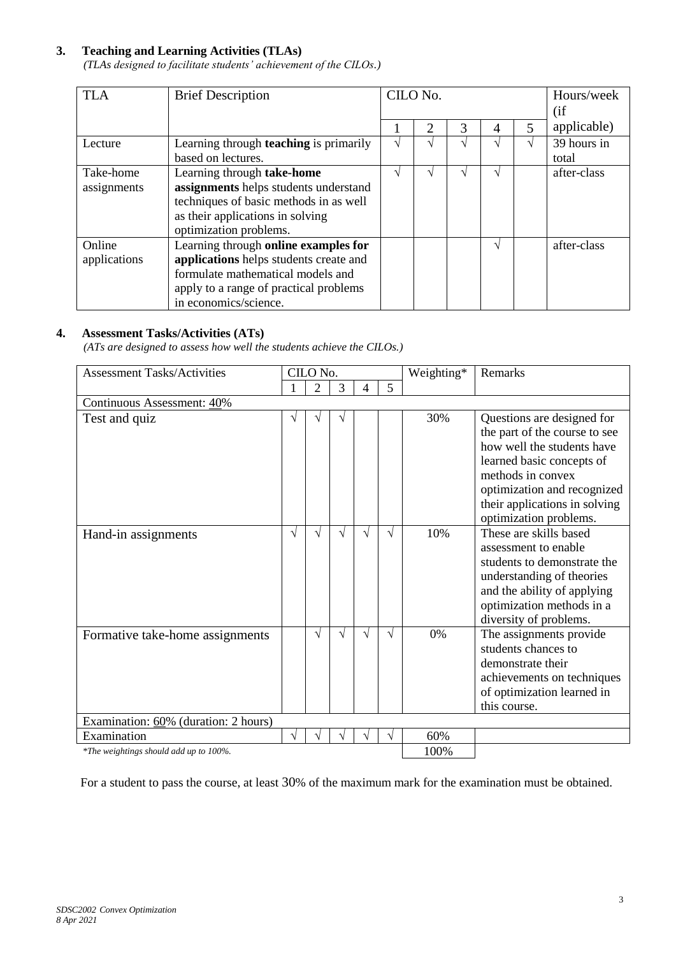# **3. Teaching and Learning Activities (TLAs)**

*(TLAs designed to facilitate students' achievement of the CILOs.)*

| <b>TLA</b>   | <b>Brief Description</b>                      |          | CILO No.      |    |                   | Hours/week |             |
|--------------|-----------------------------------------------|----------|---------------|----|-------------------|------------|-------------|
|              |                                               |          |               |    |                   |            | (if         |
|              |                                               |          | 2             | 3  | $\overline{A}$    |            | applicable) |
| Lecture      | Learning through <b>teaching</b> is primarily | $\Delta$ | اد            | اد | $\mathbf{\hat{}}$ | اد         | 39 hours in |
|              | based on lectures.                            |          |               |    |                   |            | total       |
| Take-home    | Learning through take-home                    |          | $\mathcal{L}$ | ٦. | $\mathbf{\hat{}}$ |            | after-class |
| assignments  | assignments helps students understand         |          |               |    |                   |            |             |
|              | techniques of basic methods in as well        |          |               |    |                   |            |             |
|              | as their applications in solving              |          |               |    |                   |            |             |
|              | optimization problems.                        |          |               |    |                   |            |             |
| Online       | Learning through online examples for          |          |               |    | اد                |            | after-class |
| applications | applications helps students create and        |          |               |    |                   |            |             |
|              | formulate mathematical models and             |          |               |    |                   |            |             |
|              | apply to a range of practical problems        |          |               |    |                   |            |             |
|              | in economics/science.                         |          |               |    |                   |            |             |

## **4. Assessment Tasks/Activities (ATs)**

*(ATs are designed to assess how well the students achieve the CILOs.)*

| <b>Assessment Tasks/Activities</b>     | CILO No. |                |   |   | Weighting* | <b>Remarks</b> |                                                                                                                                                                                                                            |
|----------------------------------------|----------|----------------|---|---|------------|----------------|----------------------------------------------------------------------------------------------------------------------------------------------------------------------------------------------------------------------------|
|                                        |          | $\overline{2}$ | 3 | 4 | 5          |                |                                                                                                                                                                                                                            |
| <b>Continuous Assessment: 40%</b>      |          |                |   |   |            |                |                                                                                                                                                                                                                            |
| Test and quiz                          | V        |                | V |   |            | 30%            | Questions are designed for<br>the part of the course to see<br>how well the students have<br>learned basic concepts of<br>methods in convex<br>optimization and recognized<br>their applications in solving                |
| Hand-in assignments                    | V        | V              | V | V | $\sqrt{}$  | 10%            | optimization problems.<br>These are skills based<br>assessment to enable<br>students to demonstrate the<br>understanding of theories<br>and the ability of applying<br>optimization methods in a<br>diversity of problems. |
| Formative take-home assignments        |          | V              | V | V | V          | 0%             | The assignments provide<br>students chances to<br>demonstrate their<br>achievements on techniques<br>of optimization learned in<br>this course.                                                                            |
| Examination: 60% (duration: 2 hours)   |          |                |   |   |            |                |                                                                                                                                                                                                                            |
| Examination                            | ٦Ι       |                |   |   | V          | 60%            |                                                                                                                                                                                                                            |
| *The weightings should add up to 100%. |          |                |   |   | 100%       |                |                                                                                                                                                                                                                            |

For a student to pass the course, at least 30% of the maximum mark for the examination must be obtained.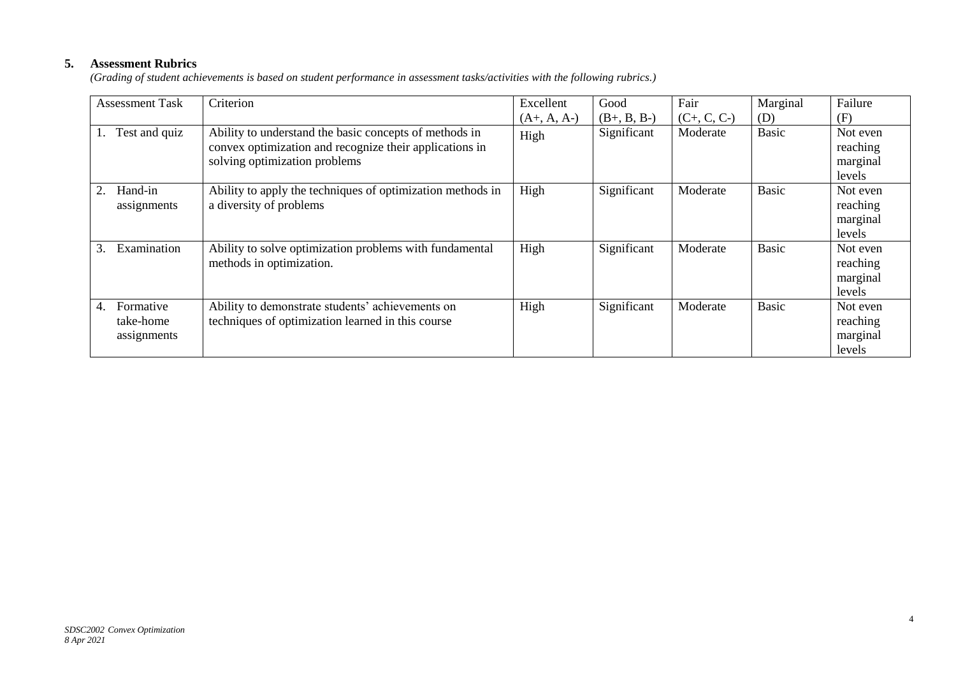# **5. Assessment Rubrics**

*(Grading of student achievements is based on student performance in assessment tasks/activities with the following rubrics.)*

| <b>Assessment Task</b>                      | Criterion                                                                                                                                          | Excellent             | Good                         | Fair                      | Marginal     | Failure                                           |
|---------------------------------------------|----------------------------------------------------------------------------------------------------------------------------------------------------|-----------------------|------------------------------|---------------------------|--------------|---------------------------------------------------|
| Test and quiz                               | Ability to understand the basic concepts of methods in<br>convex optimization and recognize their applications in<br>solving optimization problems | $(A+, A, A-)$<br>High | $(B+, B, B-)$<br>Significant | $(C+, C, C-)$<br>Moderate | (D)<br>Basic | (F)<br>Not even<br>reaching<br>marginal<br>levels |
| Hand-in<br>2.<br>assignments                | Ability to apply the techniques of optimization methods in<br>a diversity of problems                                                              | High                  | Significant                  | Moderate                  | <b>Basic</b> | Not even<br>reaching<br>marginal<br>levels        |
| Examination<br>3.                           | Ability to solve optimization problems with fundamental<br>methods in optimization.                                                                | High                  | Significant                  | Moderate                  | Basic        | Not even<br>reaching<br>marginal<br>levels        |
| Formative<br>4.<br>take-home<br>assignments | Ability to demonstrate students' achievements on<br>techniques of optimization learned in this course                                              | High                  | Significant                  | Moderate                  | Basic        | Not even<br>reaching<br>marginal<br>levels        |